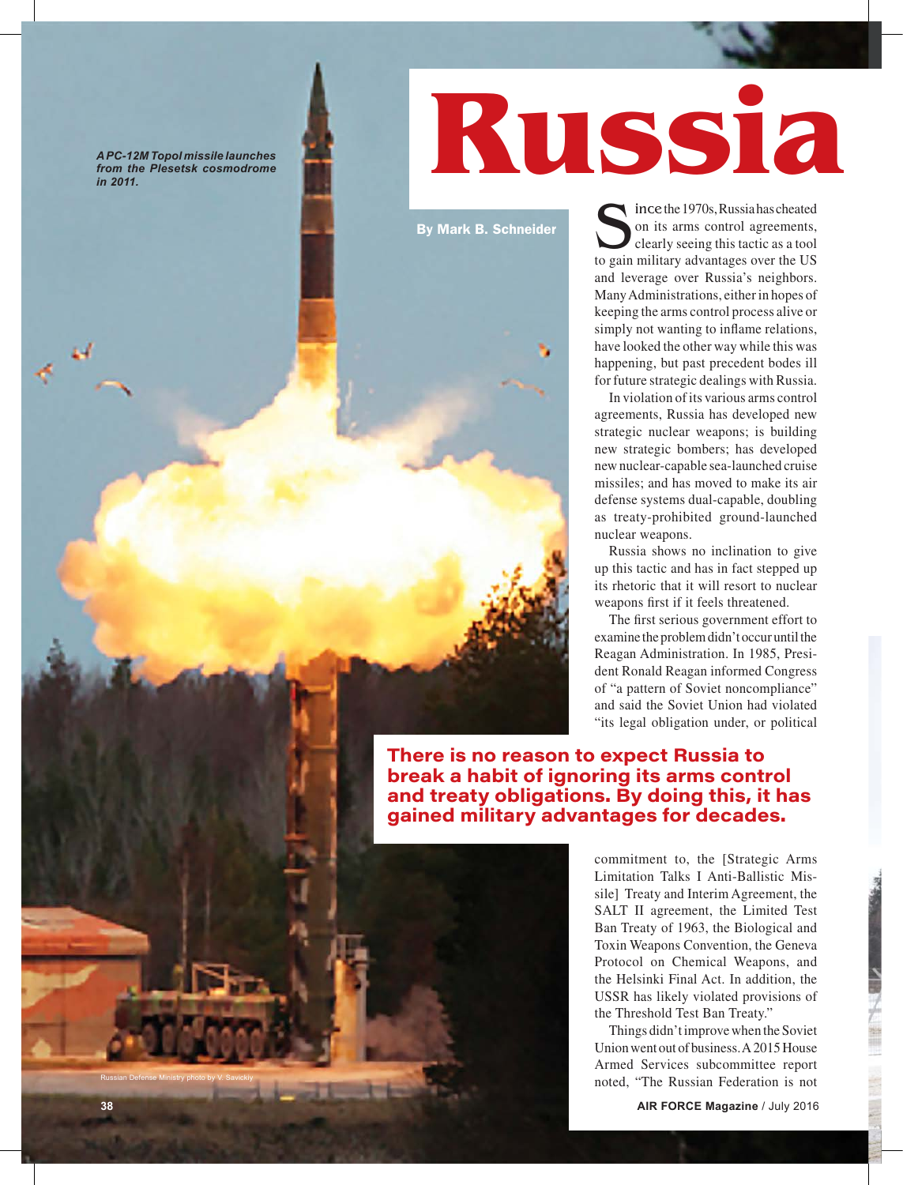*A PC-12M Topol missile launches from the Plesetsk cosmodrome in 2011.* 



By Mark B. Schneider

Since the 1970s, Russia has cheated<br>on its arms control agreements,<br>clearly seeing this tactic as a tool<br>to gain military advantages over the US on its arms control agreements, clearly seeing this tactic as a tool to gain military advantages over the US and leverage over Russia's neighbors. Many Administrations, either in hopes of keeping the arms control process alive or simply not wanting to inflame relations, have looked the other way while this was happening, but past precedent bodes ill for future strategic dealings with Russia.

In violation of its various arms control agreements, Russia has developed new strategic nuclear weapons; is building new strategic bombers; has developed new nuclear-capable sea-launched cruise missiles; and has moved to make its air defense systems dual-capable, doubling as treaty-prohibited ground-launched nuclear weapons.

Russia shows no inclination to give up this tactic and has in fact stepped up its rhetoric that it will resort to nuclear weapons first if it feels threatened.

The first serious government effort to examine the problem didn't occur until the Reagan Administration. In 1985, President Ronald Reagan informed Congress of "a pattern of Soviet noncompliance" and said the Soviet Union had violated "its legal obligation under, or political

**There is no reason to expect Russia to break a habit of ignoring its arms control and treaty obligations. By doing this, it has gained military advantages for decades.**

> commitment to, the [Strategic Arms Limitation Talks I Anti-Ballistic Missile] Treaty and Interim Agreement, the SALT II agreement, the Limited Test Ban Treaty of 1963, the Biological and Toxin Weapons Convention, the Geneva Protocol on Chemical Weapons, and the Helsinki Final Act. In addition, the USSR has likely violated provisions of the Threshold Test Ban Treaty."

> Things didn't improve when the Soviet Union went out of business. A 2015 House Armed Services subcommittee report noted, "The Russian Federation is not

**38 AIR FORCE Magazine** / July 2016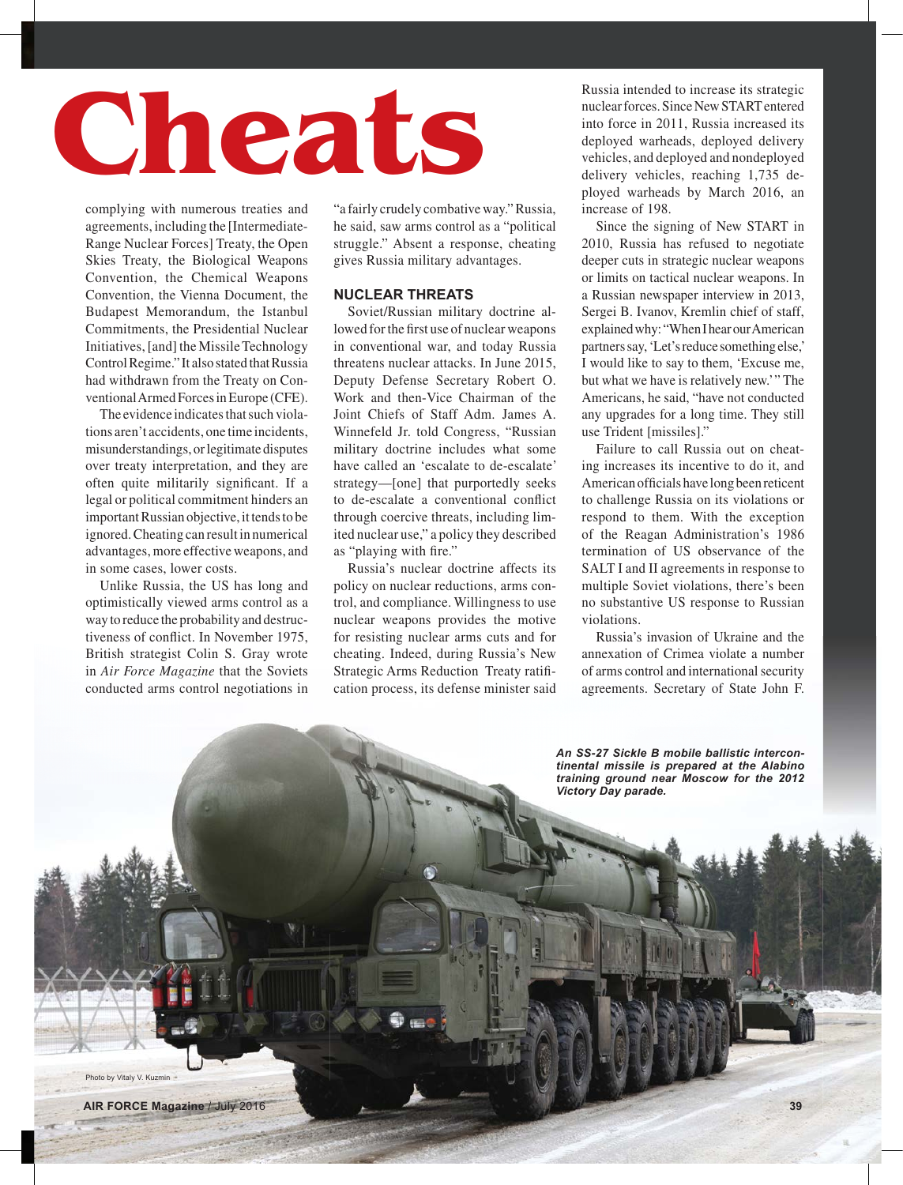# **Russia Cheats**

complying with numerous treaties and agreements, including the [Intermediate-Range Nuclear Forces] Treaty, the Open Skies Treaty, the Biological Weapons Convention, the Chemical Weapons Convention, the Vienna Document, the Budapest Memorandum, the Istanbul Commitments, the Presidential Nuclear Initiatives, [and] the Missile Technology Control Regime." It also stated that Russia had withdrawn from the Treaty on Conventional Armed Forces in Europe (CFE).

The evidence indicates that such violations aren't accidents, one time incidents, misunderstandings, or legitimate disputes over treaty interpretation, and they are often quite militarily significant. If a legal or political commitment hinders an important Russian objective, it tends to be ignored. Cheating can result in numerical advantages, more effective weapons, and in some cases, lower costs.

Unlike Russia, the US has long and optimistically viewed arms control as a way to reduce the probability and destructiveness of conflict. In November 1975, British strategist Colin S. Gray wrote in *Air Force Magazine* that the Soviets conducted arms control negotiations in

"a fairly crudely combative way." Russia, he said, saw arms control as a "political struggle." Absent a response, cheating gives Russia military advantages.

# **NUCLEAR THREATS**

Soviet/Russian military doctrine allowed for the first use of nuclear weapons in conventional war, and today Russia threatens nuclear attacks. In June 2015, Deputy Defense Secretary Robert O. Work and then-Vice Chairman of the Joint Chiefs of Staff Adm. James A. Winnefeld Jr. told Congress, "Russian military doctrine includes what some have called an 'escalate to de-escalate' strategy—[one] that purportedly seeks to de-escalate a conventional conflict through coercive threats, including limited nuclear use," a policy they described as "playing with fire."

Russia's nuclear doctrine affects its policy on nuclear reductions, arms control, and compliance. Willingness to use nuclear weapons provides the motive for resisting nuclear arms cuts and for cheating. Indeed, during Russia's New Strategic Arms Reduction Treaty ratifi cation process, its defense minister said Russia intended to increase its strategic nuclear forces. Since New START entered into force in 2011, Russia increased its deployed warheads, deployed delivery vehicles, and deployed and nondeployed delivery vehicles, reaching 1,735 deployed warheads by March 2016, an increase of 198.

Since the signing of New START in 2010, Russia has refused to negotiate deeper cuts in strategic nuclear weapons or limits on tactical nuclear weapons. In a Russian newspaper interview in 2013, Sergei B. Ivanov, Kremlin chief of staff, explained why: "When I hear our American partners say, 'Let's reduce something else,' I would like to say to them, 'Excuse me, but what we have is relatively new." The Americans, he said, "have not conducted any upgrades for a long time. They still use Trident [missiles]."

Failure to call Russia out on cheating increases its incentive to do it, and American officials have long been reticent to challenge Russia on its violations or respond to them. With the exception of the Reagan Administration's 1986 termination of US observance of the SALT I and II agreements in response to multiple Soviet violations, there's been no substantive US response to Russian violations.

Russia's invasion of Ukraine and the annexation of Crimea violate a number of arms control and international security agreements. Secretary of State John F.

*An SS-27 Sickle B mobile ballistic intercontinental missile is prepared at the Alabino training ground near Moscow for the 2012 Victory Day parade.*

Photo by Vitaly V. Kuzmin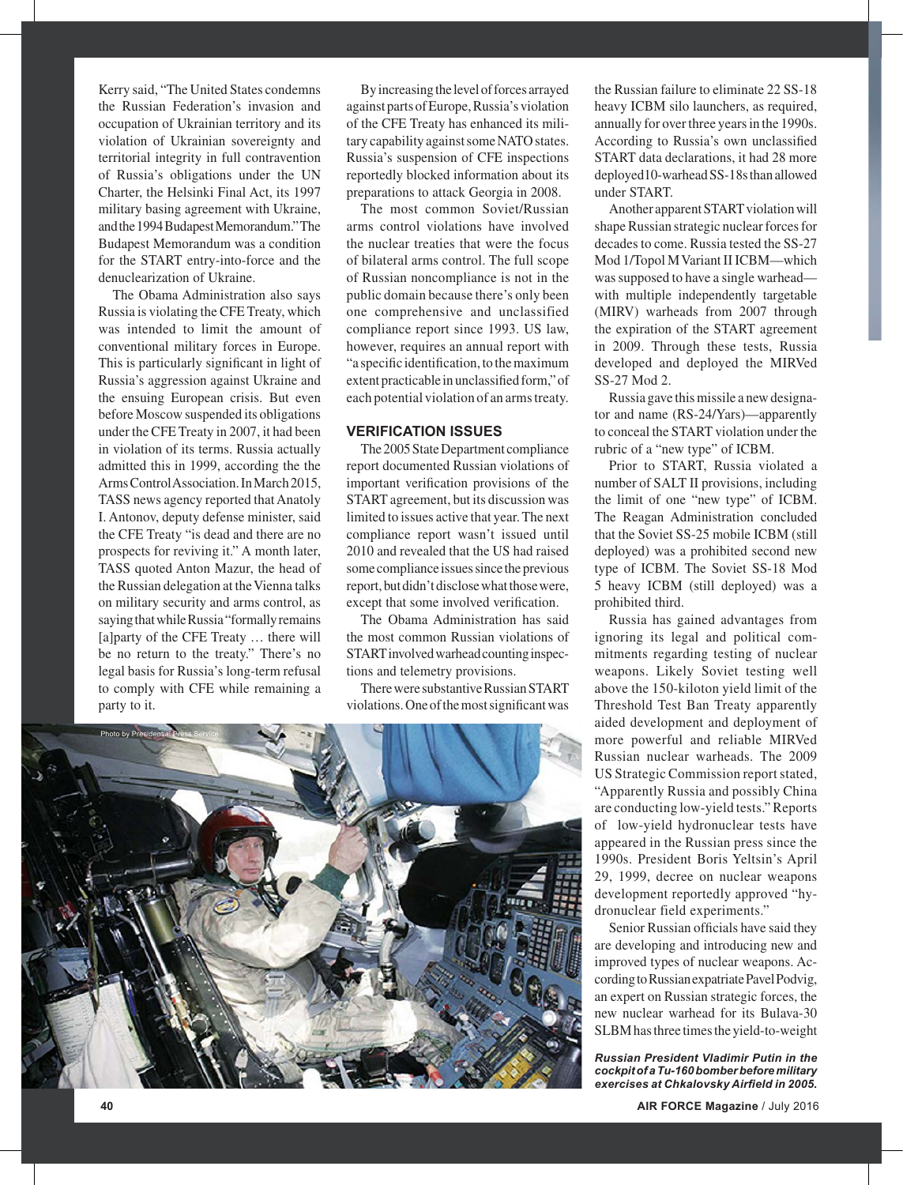Kerry said, "The United States condemns the Russian Federation's invasion and occupation of Ukrainian territory and its violation of Ukrainian sovereignty and territorial integrity in full contravention of Russia's obligations under the UN Charter, the Helsinki Final Act, its 1997 military basing agreement with Ukraine, and the 1994 Budapest Memorandum." The Budapest Memorandum was a condition for the START entry-into-force and the denuclearization of Ukraine.

The Obama Administration also says Russia is violating the CFE Treaty, which was intended to limit the amount of conventional military forces in Europe. This is particularly significant in light of Russia's aggression against Ukraine and the ensuing European crisis. But even before Moscow suspended its obligations under the CFE Treaty in 2007, it had been in violation of its terms. Russia actually admitted this in 1999, according the the Arms Control Association. In March 2015, TASS news agency reported that Anatoly I. Antonov, deputy defense minister, said the CFE Treaty "is dead and there are no prospects for reviving it." A month later, TASS quoted Anton Mazur, the head of the Russian delegation at the Vienna talks on military security and arms control, as saying that while Russia "formally remains [a]party of the CFE Treaty … there will be no return to the treaty." There's no legal basis for Russia's long-term refusal to comply with CFE while remaining a party to it.

By increasing the level of forces arrayed against parts of Europe, Russia's violation of the CFE Treaty has enhanced its military capability against some NATO states. Russia's suspension of CFE inspections reportedly blocked information about its preparations to attack Georgia in 2008.

The most common Soviet/Russian arms control violations have involved the nuclear treaties that were the focus of bilateral arms control. The full scope of Russian noncompliance is not in the public domain because there's only been one comprehensive and unclassified compliance report since 1993. US law, however, requires an annual report with "a specific identification, to the maximum extent practicable in unclassified form," of each potential violation of an arms treaty.

## **VERIFICATION ISSUES**

The 2005 State Department compliance report documented Russian violations of important verification provisions of the START agreement, but its discussion was limited to issues active that year. The next compliance report wasn't issued until 2010 and revealed that the US had raised some compliance issues since the previous report, but didn't disclose what those were, except that some involved verification.

The Obama Administration has said the most common Russian violations of START involved warhead counting inspections and telemetry provisions.

There were substantive Russian START violations. One of the most significant was



the Russian failure to eliminate 22 SS-18 heavy ICBM silo launchers, as required, annually for over three years in the 1990s. According to Russia's own unclassified START data declarations, it had 28 more deployed10-warhead SS-18s than allowed under START.

Another apparent START violation will shape Russian strategic nuclear forces for decades to come. Russia tested the SS-27 Mod 1/Topol M Variant II ICBM—which was supposed to have a single warhead with multiple independently targetable (MIRV) warheads from 2007 through the expiration of the START agreement in 2009. Through these tests, Russia developed and deployed the MIRVed SS-27 Mod 2.

Russia gave this missile a new designator and name (RS-24/Yars)—apparently to conceal the START violation under the rubric of a "new type" of ICBM.

Prior to START, Russia violated a number of SALT II provisions, including the limit of one "new type" of ICBM. The Reagan Administration concluded that the Soviet SS-25 mobile ICBM (still deployed) was a prohibited second new type of ICBM. The Soviet SS-18 Mod 5 heavy ICBM (still deployed) was a prohibited third.

Russia has gained advantages from ignoring its legal and political commitments regarding testing of nuclear weapons. Likely Soviet testing well above the 150-kiloton yield limit of the Threshold Test Ban Treaty apparently aided development and deployment of more powerful and reliable MIRVed Russian nuclear warheads. The 2009 US Strategic Commission report stated, "Apparently Russia and possibly China are conducting low-yield tests." Reports of low-yield hydronuclear tests have appeared in the Russian press since the 1990s. President Boris Yeltsin's April 29, 1999, decree on nuclear weapons development reportedly approved "hydronuclear field experiments."

Senior Russian officials have said they are developing and introducing new and improved types of nuclear weapons. According to Russian expatriate Pavel Podvig, an expert on Russian strategic forces, the new nuclear warhead for its Bulava-30 SLBM has three times the yield-to-weight

*Russian President Vladimir Putin in the cockpit of a Tu-160 bomber before military exercises at Chkalovsky Airfield in 2005.*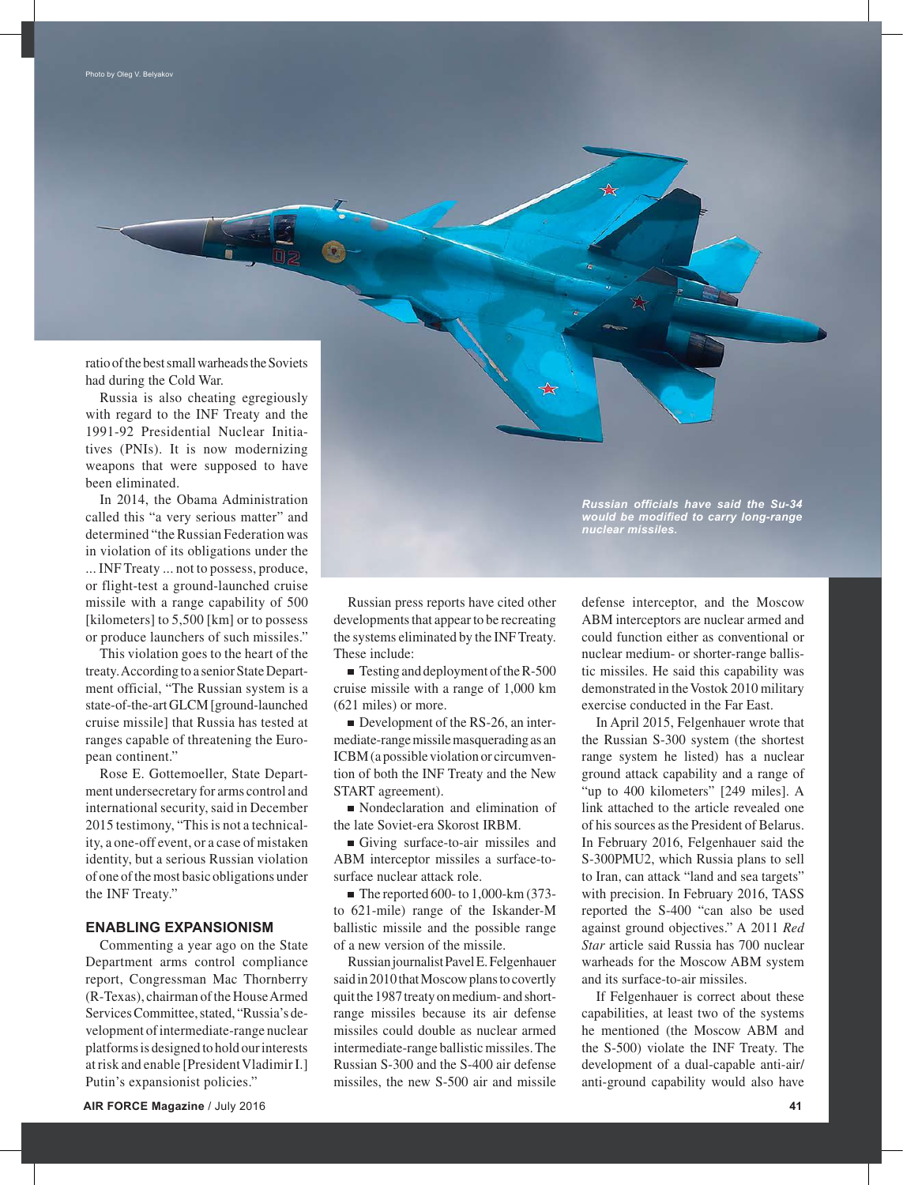ratio of the best small warheads the Soviets had during the Cold War.

Russia is also cheating egregiously with regard to the INF Treaty and the 1991-92 Presidential Nuclear Initiatives (PNIs). It is now modernizing weapons that were supposed to have been eliminated.

In 2014, the Obama Administration called this "a very serious matter" and determined "the Russian Federation was in violation of its obligations under the ... INF Treaty ... not to possess, produce, or flight-test a ground-launched cruise missile with a range capability of 500 [kilometers] to 5,500 [km] or to possess or produce launchers of such missiles."

This violation goes to the heart of the treaty. According to a senior State Department official, "The Russian system is a state-of-the-art GLCM [ground-launched cruise missile] that Russia has tested at ranges capable of threatening the European continent."

Rose E. Gottemoeller, State Department undersecretary for arms control and international security, said in December 2015 testimony, "This is not a technicality, a one-off event, or a case of mistaken identity, but a serious Russian violation of one of the most basic obligations under the INF Treaty."

### **ENABLING EXPANSIONISM**

Commenting a year ago on the State Department arms control compliance report, Congressman Mac Thornberry (R-Texas), chairman of the House Armed Services Committee, stated, "Russia's development of intermediate-range nuclear platforms is designed to hold our interests at risk and enable [President Vladimir I.] Putin's expansionist policies."

Russian press reports have cited other developments that appear to be recreating the systems eliminated by the INF Treaty. These include:

 $\blacksquare$  Testing and deployment of the R-500 cruise missile with a range of 1,000 km (621 miles) or more.

Development of the RS-26, an intermediate-range missile masquerading as an ICBM (a possible violation or circumvention of both the INF Treaty and the New START agreement).

Nondeclaration and elimination of the late Soviet-era Skorost IRBM.

Giving surface-to-air missiles and ABM interceptor missiles a surface-tosurface nuclear attack role.

 $\blacksquare$  The reported 600- to 1,000-km (373to 621-mile) range of the Iskander-M ballistic missile and the possible range of a new version of the missile.

Russian journalist Pavel E. Felgenhauer said in 2010 that Moscow plans to covertly quit the 1987 treaty on medium- and shortrange missiles because its air defense missiles could double as nuclear armed intermediate-range ballistic missiles. The Russian S-300 and the S-400 air defense missiles, the new S-500 air and missile *Russian officials have said the Su-34 would be modified to carry long-range nuclear missiles.*

defense interceptor, and the Moscow ABM interceptors are nuclear armed and could function either as conventional or nuclear medium- or shorter-range ballistic missiles. He said this capability was demonstrated in the Vostok 2010 military exercise conducted in the Far East.

In April 2015, Felgenhauer wrote that the Russian S-300 system (the shortest range system he listed) has a nuclear ground attack capability and a range of "up to 400 kilometers" [249 miles]. A link attached to the article revealed one of his sources as the President of Belarus. In February 2016, Felgenhauer said the S-300PMU2, which Russia plans to sell to Iran, can attack "land and sea targets" with precision. In February 2016, TASS reported the S-400 "can also be used against ground objectives." A 2011 *Red Star* article said Russia has 700 nuclear warheads for the Moscow ABM system and its surface-to-air missiles.

If Felgenhauer is correct about these capabilities, at least two of the systems he mentioned (the Moscow ABM and the S-500) violate the INF Treaty. The development of a dual-capable anti-air/ anti-ground capability would also have